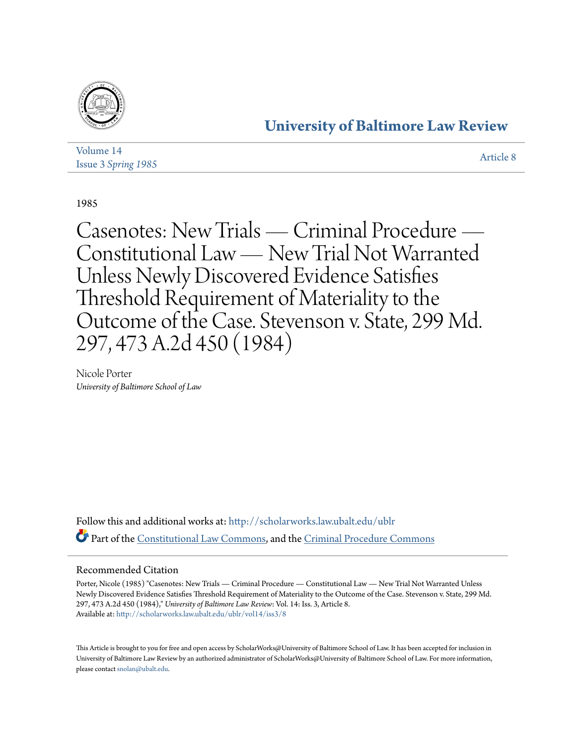

## **[University of Baltimore Law Review](http://scholarworks.law.ubalt.edu/ublr?utm_source=scholarworks.law.ubalt.edu%2Fublr%2Fvol14%2Fiss3%2F8&utm_medium=PDF&utm_campaign=PDFCoverPages)**

| Volume 14                  | Article 8 |
|----------------------------|-----------|
| <b>Issue 3 Spring 1985</b> |           |

1985

Casenotes: New Trials — Criminal Procedure — Constitutional Law — New Trial Not Warranted Unless Newly Discovered Evidence Satisfies Threshold Requirement of Materiality to the Outcome of the Case. Stevenson v. State, 299 Md. 297, 473 A.2d 450 (1984)

Nicole Porter *University of Baltimore School of Law*

Follow this and additional works at: [http://scholarworks.law.ubalt.edu/ublr](http://scholarworks.law.ubalt.edu/ublr?utm_source=scholarworks.law.ubalt.edu%2Fublr%2Fvol14%2Fiss3%2F8&utm_medium=PDF&utm_campaign=PDFCoverPages) Part of the [Constitutional Law Commons,](http://network.bepress.com/hgg/discipline/589?utm_source=scholarworks.law.ubalt.edu%2Fublr%2Fvol14%2Fiss3%2F8&utm_medium=PDF&utm_campaign=PDFCoverPages) and the [Criminal Procedure Commons](http://network.bepress.com/hgg/discipline/1073?utm_source=scholarworks.law.ubalt.edu%2Fublr%2Fvol14%2Fiss3%2F8&utm_medium=PDF&utm_campaign=PDFCoverPages)

## Recommended Citation

Porter, Nicole (1985) "Casenotes: New Trials — Criminal Procedure — Constitutional Law — New Trial Not Warranted Unless Newly Discovered Evidence Satisfies Threshold Requirement of Materiality to the Outcome of the Case. Stevenson v. State, 299 Md. 297, 473 A.2d 450 (1984)," *University of Baltimore Law Review*: Vol. 14: Iss. 3, Article 8. Available at: [http://scholarworks.law.ubalt.edu/ublr/vol14/iss3/8](http://scholarworks.law.ubalt.edu/ublr/vol14/iss3/8?utm_source=scholarworks.law.ubalt.edu%2Fublr%2Fvol14%2Fiss3%2F8&utm_medium=PDF&utm_campaign=PDFCoverPages)

This Article is brought to you for free and open access by ScholarWorks@University of Baltimore School of Law. It has been accepted for inclusion in University of Baltimore Law Review by an authorized administrator of ScholarWorks@University of Baltimore School of Law. For more information, please contact [snolan@ubalt.edu.](mailto:snolan@ubalt.edu)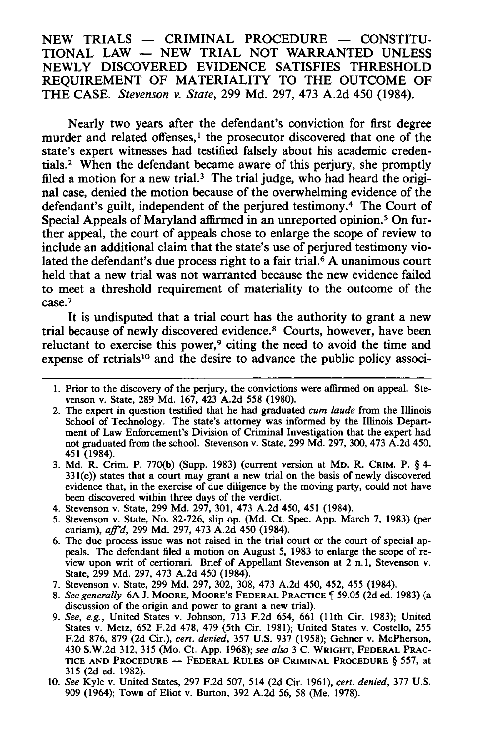$NEW$  TRIALS  $-$  CRIMINAL PROCEDURE  $-$  CONSTITU-TIONAL LAW - NEW TRIAL NOT WARRANTED UNLESS NEWLY DISCOVERED EVIDENCE SATISFIES THRESHOLD REQUIREMENT OF MATERIALITY TO THE OUTCOME OF THE CASE. *Stevenson v. State,* 299 Md. 297, 473 A.2d 450 (1984).

Nearly two years after the defendant's conviction for first degree murder and related offenses, $\frac{1}{1}$  the prosecutor discovered that one of the state's expert witnesses had testified falsely about his academic credentials.<sup>2</sup> When the defendant became aware of this perjury, she promptly filed a motion for a new trial.<sup>3</sup> The trial judge, who had heard the original case, denied the motion because of the overwhelming evidence of the defendant's guilt, independent of the perjured testimony.4 The Court of Special Appeals of Maryland affirmed in an unreported opinion.<sup>5</sup> On further appeal, the court of appeals chose to enlarge the scope of review to include an additional claim that the state's use of perjured testimony violated the defendant's due process right to a fair trial.<sup> $\delta$ </sup> A unanimous court held that a new trial was not warranted because the new evidence failed to meet a threshold requirement of materiality to the outcome of the case.7

It is undisputed that a trial court has the authority to grant a new trial because of newly discovered evidence.<sup>8</sup> Courts, however, have been reluctant to exercise this power,<sup>9</sup> citing the need to avoid the time and expense of retrials<sup>10</sup> and the desire to advance the public policy associ-

- 3. Md. R. Crim. P. 770(b) (Supp. 1983) (current version at MD. R. CRIM. P. § 4-  $331(c)$ ) states that a court may grant a new trial on the basis of newly discovered evidence that, in the exercise of due diligence by the moving party, could not have been discovered within three days of the verdict.
- 4. Stevenson v. State, 299 Md. 297, 301, 473 A.2d 450, 451 (1984).
- 5. Stevenson v. State, No. 82-726, slip op. (Md. Ct. Spec. App. March 7, 1983) (per curiam), *affd,* 299 Md. 297, 473 A.2d 450 (1984).
- 6. The due process issue was not raised in the trial court or the court of special appeals. The defendant filed a motion on August 5, 1983 to enlarge the scope of review upon writ of certiorari. Brief of Appellant Stevenson at 2 n.l, Stevenson v. State, 299 Md. 297, 473 A.2d 450 (1984).
- 7. Stevenson v. State, 299 Md. 297, 302, 308, 473 A.2d 450, 452, 455 (1984).
- 8. See generally 6A J. MOORE, MOORE'S FEDERAL PRACTICE ¶ 59.05 (2d ed. 1983) (a discussion of the origin and power to grant a new trial).
- *9. See, e.g.,* United States v. Johnson, 713 F.2d 654, 661 (11th Cir. 1983); United States v. Metz, 652 F.2d 478, 479 (5th Cir. 1981); United States v. Costello, 255 F.2d 876, 879 (2d Cir.), *cert. denied,* 357 U.S. 937 (1958); Gehner v. McPherson, 430 S.W.2d 312, 315 (Mo. Ct. App. 1968); *see also* 3 C. WRIGHT, FEDERAL PRAC-TICE AND PROCEDURE - FEDERAL RULES OF CRIMINAL PROCEDURE  $\S$  557, at 315 (2d ed. 1982).
- *10. See* Kyle v. United States, 297 F.2d 507, 514 (2d Cir. 1961), *cert. denied,* 377 U.S. 909 (1964); Town of Eliot v. Burton, 392 A.2d 56, 58 (Me. 1978).

<sup>1.</sup> Prior to the discovery of the perjury, the convictions were affirmed on appeal. Stevenson v. State, 289 Md. 167,423 A.2d 558 (1980).

<sup>2.</sup> The expert in question testified that he had graduated *cum laude* from the Illinois School of Technology. The state's attorney was informed by the Illinois Department of Law Enforcement's Division of Criminal Investigation that the expert had not graduated from the school. Stevenson v. State, 299 Md. 297, 300,473 A.2d 450, 451 (1984).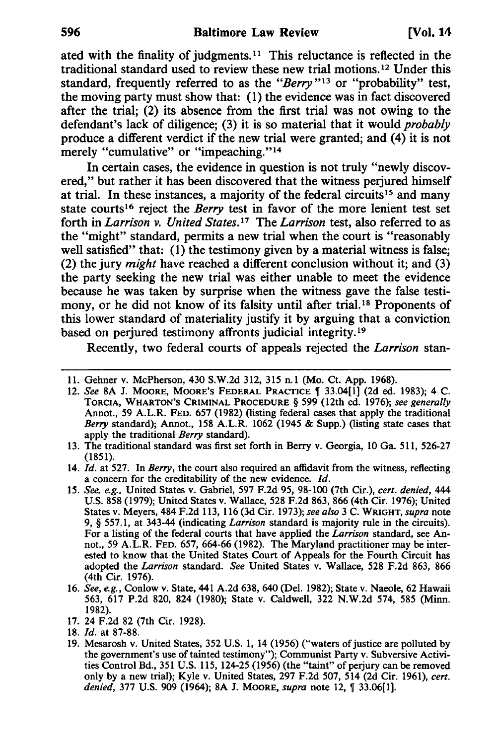ated with the finality of judgments.<sup>11</sup> This reluctance is reflected in the traditional standard used to review these new trial motions. 12 Under this standard, frequently referred to as the *"Berry* "13 or "probability" test, the moving party must show that: (1) the evidence was in fact discovered after the trial; (2) its absence from the first trial was not owing to the defendant's lack of diligence; (3) it is so material that it would *probably*  produce a different verdict if the new trial were granted; and (4) it is not merely "cumulative" or "impeaching."<sup>14</sup>

In certain cases, the evidence in question is not truly "newly discovered," but rather it has been discovered that the witness perjured himself at trial. In these instances, a majority of the federal circuits<sup>15</sup> and many state courts<sup>16</sup> reject the *Berry* test in favor of the more lenient test set forth in *Larrison* v. United States.<sup>17</sup> The *Larrison* test, also referred to as the "might" standard, permits a new trial when the court is "reasonably well satisfied" that: (1) the testimony given by a material witness is false; (2) the jury *might* have reached a different conclusion without it; and (3) the party seeking the new trial was either unable to meet the evidence because he was taken by surprise when the witness gave the false testimony, or he did not know of its falsity until after trial.<sup>18</sup> Proponents of this lower standard of materiality justify it by arguing that a conviction based on perjured testimony affronts judicial integrity.I9

Recently, two federal courts of appeals rejected the *Larrison* stan-

- 12. See 8A J. MOORE, MOORE'S FEDERAL PRACTICE  $\parallel$  33.04[1] (2d ed. 1983); 4 C. TORCIA, WHARTON'S CRIMINAL PROCEDURE § 599 (12th ed. 1976); *see generally*  Annot., 59 A.L.R. FED. 657 (1982) (listing federal cases that apply the traditional *Berry* standard); Annot., 158 A.L.R. 1062 (1945 & Supp.) (listing state cases that apply the traditional *Berry* standard).
- 13. The traditional standard was first set forth in Berry v. Georgia, 10 Ga. 511, 526-27 (1851).
- 14. *Id.* at 527. In *Berry*, the court also required an affidavit from the witness, reflecting a concern for the creditability of the new evidence. *[d.*
- *15. See, e.g.,* United States v. Gabriel, 597 F.2d 95, 98-100 (7th Cir.), *cert. denied,* 444 U.S. 858 (1979); United States v. Wallace, 528 F.2d 863, 866 (4th Cir. 1976); United States v. Meyers, 484 F.2d 113, 116 (3d Cir. 1973); *see also* 3 C. WRIGHT, *supra* note 9, § 557.1, at 343-44 (indicating *Larrison* standard is majority rule in the circuits). For a listing of the federal courts that have applied the *Larrison* standard, see Annot., 59 A.L.R. FED. 657, 664-66 (1982). The Maryland practitioner may be interested to know that the United States Court of Appeals for the Fourth Circuit has adopted the *Larrison* standard. *See* United States v. Wallace, 528 F.2d 863, 866 (4th Cir. 1976).
- *16. See, e.g.,* Conlow v. State, 441 A.2d 638, 640 (Del. 1982); State v. Naeole, 62 Hawaii 563, 617 P.2d 820, 824 (1980); State v. Caldwell, 322 N.W.2d 574, 585 (Minn. 1982).
- 17. 24 F.2d 82 (7th Cir. 1928).
- *18. [d.* at 87-88.
- 19. Mesarosh v. United States, 352 U.S. 1, 14 (1956) ("waters of justice are polluted by the government's use of tainted testimony"); Communist Party v. Subversive Activities Control Bd., 351 U.S. 115, 124-25 (1956) (the "taint" of perjury can be removed only by a new trial); Kyle v. United States, 297 F.2d 507, 514 (2d Cir. 1961), *cert. denied, 377 U.S. 909 (1964); 8A J. MOORE, <i>supra* note 12, ¶ 33.06[1].

<sup>11.</sup> Gehner v. McPherson, 430 S.W.2d 312, 315 n.l (Mo. Ct. App. 1968).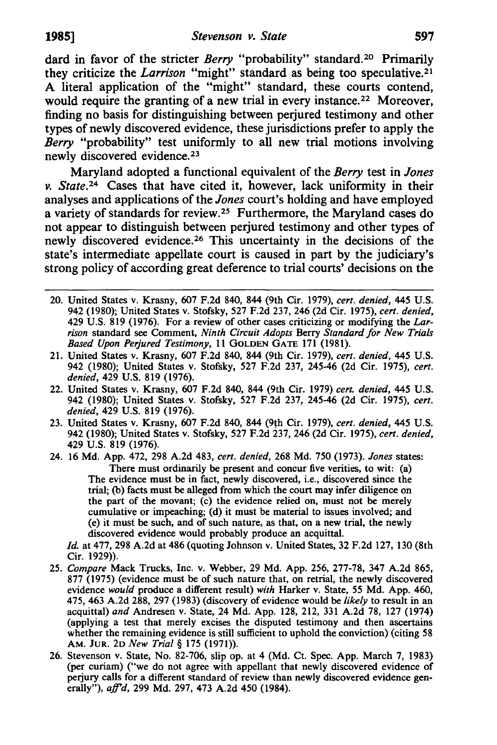dard in favor of the stricter *Berry* "probability" standard.<sup>20</sup> Primarily they criticize the *Larrison* "might" standard as being too speculative.21 A literal application of the "might" standard, these courts contend, would require the granting of a new trial in every instance.<sup>22</sup> Moreover, finding no basis for distinguishing between perjured testimony and other types of newly discovered evidence, these jurisdictions prefer to apply the *Berry* "probability" test uniformly to all new trial motions involving newly discovered evidence.<sup>23</sup>

Maryland adopted a functional equivalent of the *Berry* test in *Jones v. State.*<sup>24</sup> Cases that have cited it, however, lack uniformity in their analyses and applications of the *Jones* court's holding and have employed a variety of standards for review. 2s Furthermore, the Maryland cases do not appear to distinguish between perjured testimony and other types of newly discovered evidence.26 This uncertainty in the decisions of the state's intermediate appellate court is caused in part by the judiciary'S strong policy of according great deference to trial courts' decisions on the

- 20. United States v. Krasny, 607 F.2d 840, 844 (9th Cir. 1979), *cert. denied,* 445 U.S. 942 (1980); United States V. Stofsky, 527 F.2d 237, 246 (2d Cir. 1975), *cert. denied,*  429 U.S. 819 (1976). For a review of other cases criticizing or modifying the *Larrison* standard see Comment, *Ninth Circuit Adopts* Berry *Standard for New Trials Based Upon Perjured Testimony,* 11 GOLDEN GATE 171 (1981).
- 21. United States V. Krasny, 607 F.2d 840, 844 (9th Cir. 1979), *cert. denied,* 445 U.S. 942 (1980); United States V. Stofsky, 527 F.2d 237, 245-46 (2d Cir. 1975), *cert. denied,* 429 U.S. 819 (1976).
- 22. United States V. Krasny, 607 F.2d 840, 844 (9th Cir. 1979) *cert. denied,* 445 U.S. 942 (1980); United States V. Stofsky, 527 F.2d 237, 245-46 (2d Cir. 1975), *cert. denied,* 429 U.S. 819 (1976).
- 23. United States V. Krasny, 607 F.2d 840, 844 (9th Cir. 1979), *cert. denied,* 445 U.S. 942 (1980); United States V. Stofsky, 527 F.2d 237, 246 (2d Cir. 1975), *cert. denied,*  429 U.S. 819 (1976).
- 24. 16 Md. App. 472, 298 A.2d 483, *cert. denied,* 268 Md. 750 (1973). *Jones* states: There must ordinarily be present and concur five verities, to wit: (a) The evidence must be in fact, newly discovered, i.e., discovered since the trial; (b) facts must be alleged from which the court may infer diligence on the part of the movant; (c) the evidence relied on, must not be merely cumulative or impeaching; (d) it must be material to issues involved; and (e) it must be such, and of such nature, as that, on a new trial, the newly discovered evidence would probably produce an acquittal.

*Id.* at 477,298 A.2d at 486 (quoting Johnson V. United States, 32 F.2d 127, 130 (8th Cir. 1929)).

- *25. Compare* Mack Trucks, Inc. V. Webber, 29 Md. App. 256, 277-78, 347 A.2d 865, 877 (1975) (evidence must be of such nature that, on retrial, the newly discovered evidence *would* produce a different result) *with* Harker V. State, 55 Md. App. 460, 475,463 A.2d 288, 297 (1983) (discovery of evidence would be *likely* to result in an acquittal) *and* Andresen V. State, 24 Md. App. 128, 212, 331 A.2d 78, 127 (1974) (applying a test that merely excises the disputed testimony and then ascertains whether the remaining evidence is still sufficient to uphold the conviction) (citing 58 AM. JUR. 2D *New Trial* § 175 (1971».
- 26. Stevenson V. State, No. 82-706, slip op. at 4 (Md. Ct. Spec. App. March 7, 1983) (per curiam) ("we do not agree with appellant that newly discovered evidence of perjury calls for a different standard of review than newly discovered evidence generally"), *affd,* 299 Md. 297,473 A.2d 450 (1984).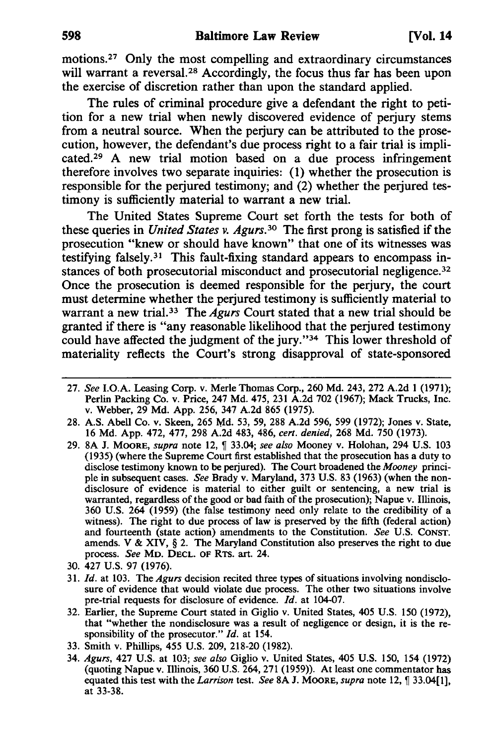motions.27 Only the most compelling and extraordinary circumstances will warrant a reversal.<sup>28</sup> Accordingly, the focus thus far has been upon the exercise of discretion rather than upon the standard applied.

The rules of criminal procedure give a defendant the right to petition for a new trial when newly discovered evidence of perjury stems from a neutral source. When the perjury can be attributed to the prosecution, however, the defendant's due process right to a fair trial is implicated.29 A new trial motion based on a due process infringement therefore involves two separate inquiries: (1) whether the prosecution is responsible for the perjured testimony; and (2) whether the perjured testimony is sufficiently material to warrant a new trial.

The United States Supreme Court set forth the tests for both of these queries in *United States v. Agurs.30* The first prong is satisfied if the prosecution "knew or should have known" that one of its witnesses was testifying falsely.3! This fault-fixing standard appears to encompass instances of both prosecutorial misconduct and prosecutorial negligence.<sup>32</sup> Once the prosecution is deemed responsible for the perjury, the court must determine whether the perjured testimony is sufficiently material to warrant a new trial. 33 The *Agurs* Court stated that a new trial should be granted if there is "any reasonable likelihood that the perjured testimony could have affected the judgment of the jury."<sup>34</sup> This lower threshold of materiality reflects the Court's strong disapproval of state-sponsored

- *27. See* LO.A. Leasing Corp. v. Merle Thomas Corp., 260 Md. 243, 272 A.2d 1 (1971); Perlin Packing Co. v. Price, 247 Md. 475, 231 A.2d 702 (1967); Mack Trucks, Inc. v. Webber, 29 Md. App. 256, 347 A.2d 865 (1975).
- 28. A.S. Abell Co. v. Skeen, 265 Md. 53, 59, 288 A.2d 596, 599 (1972); Jones v. State, 16 Md. App. 472,477, 298 A.2d 483, 486, *cert. denied,* 268 Md. 750 (1973).
- 29. 8A J. MOORE, *supra* note 12,  $\int$  33.04; *see also* Mooney v. Holohan, 294 U.S. 103 (1935) (where the Supreme Court first established that the prosecution has a duty to disclose testimony known to be perjured). The Court broadened the *Mooney* principle in subsequent cases. *See* Brady v. Maryland, 373 U.S. 83 (1963) (when the nondisclosure of evidence is material to either guilt or sentencing, a new trial is warranted, regardless of the good or bad faith of the prosecution); Napue V. Illinois, 360 U.S. 264 (1959) (the false testimony need only relate to the credibility of a witness). The right to due process of law is preserved by the fifth (federal action) and fourteenth (state action) amendments to the Constitution. *See* U.S. CONST. amends. V & XIV, § 2. The Maryland Constitution also preserves the right to due process. *See* MD. DECL. OF RTS. art. 24.
- 30. 427 U.S. 97 (1976).
- 31. *[d.* at 103. The *Agurs* decision recited three types of situations involving nondisclosure of evidence that would violate due process. The other two situations involve pre-trial requests for disclosure of evidence. *[d.* at 104-07.
- 32. Earlier, the Supreme Court stated in Giglio V. United States, 405 U.S. 150 (1972), that "whether the nondisclosure was a result of negligence or design, it is the responsibility of the prosecutor." *[d.* at 154.
- 33. Smith V. Phillips, 455 U.S. 209, 218-20 (1982).
- *34. Agurs,* 427 U.S. at 103; *see also* Giglio V. United States, 405 U.S. 150, 154 (1972) (quoting Napue V. Illinois, 360 U.S. 264,271 (1959». At least one commentator has equated this test with the *Larrison* test. *See* 8A J. MOORE, *supra* note 12,  $\int$  33.04[1], at 33-38.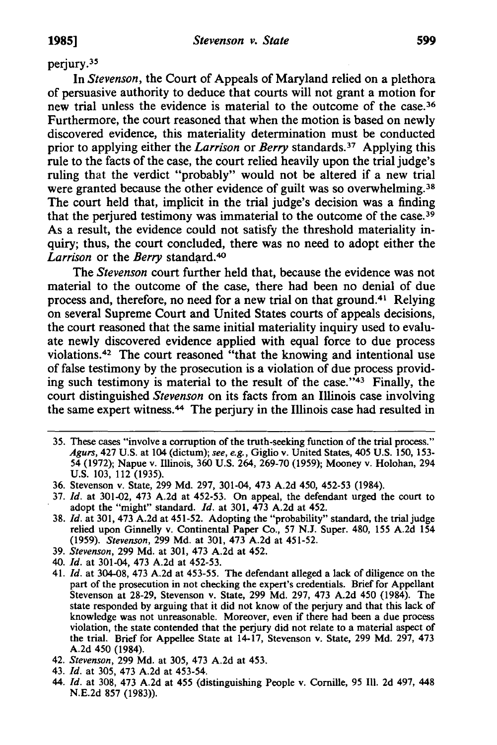## perjury.3S

**In** *Stevenson,* the Court of Appeals of Maryland relied on a plethora of persuasive authority to deduce that courts will not grant a motion for new trial unless the evidence is material to the outcome of the case.36 Furthermore, the court reasoned that when the motion is based on newly discovered evidence, this materiality determination must be conducted prior to applying either the *Larrison* or *Berry* standards.37 Applying this rule to the facts of the case, the court relied heavily upon the trial judge's ruling that the verdict "probably" would not be altered if a new trial were granted because the other evidence of guilt was so overwhelming.<sup>38</sup> The court held that, implicit in the trial judge's decision was a finding that the perjured testimony was immaterial to the outcome of the case.<sup>39</sup> As a result, the evidence could not satisfy the threshold materiality inquiry; thus, the court concluded, there was no need to adopt either the *Larrison* or the *Berry* standard.<sup>40</sup>

The *Stevenson* court further held that, because the evidence was not material to the outcome of the case, there had been no denial of due process and, therefore, no need for a new trial on that ground.41 Relying on several Supreme Court and United States courts of appeals decisions, the court reasoned that the same initial materiality inquiry used to evaluate newly discovered evidence applied with equal force to due process violations.42 The court reasoned "that the knowing and intentional use of false testimony by the prosecution is a violation of due process providing such testimony is material to the result of the case."43 Finally, the court distinguished *Stevenson* on its facts from an Illinois case involving the same expert witness.44 The perjury in the Illinois case had resulted in

35. These cases "involve a corruption of the truth-seeking function of the trial process." *Agurs,* 427 U.S. at 104 (dictum); *see, e.g.,* Giglio v. United States, 405 U.S. 150,153- 54 (1972); Napue v. Illinois, 360 U.S. 264, 269-70 (1959); Mooney v. Holohan, 294 U.S. 103, 112 (1935).

- *37. Id.* at 301-02, 473 A.2d at 452-53. On appeal, the defendant urged the court to adopt the "might" standard. *Id.* at 301, 473 A.2d at 452.
- *38. Id.* at 301, 473 A.2d at 451-52. Adopting the "probability" standard, the trial judge relied upon Ginnelly v. Continental Paper Co., 57 N.J. Super. 480, 155 A.2d 154 *(1959). Stevenson,* 299 Md. at 301, 473 A.2d at 451-52.
- *39. Stevenson,* 299 Md. at 301, 473 A.2d at 452.
- 40. *Id.* at 301-04, 473 A.2d at 452-53.
- 41. *Id.* at 304-08, 473 A.2d at 453-55. The defendant alleged a lack of diligence on the part of the prosecution in not checking the expert's credentials. Brief for Appellant Stevenson at 28-29, Stevenson v. State, 299 Md. 297, 473 A.2d 450 (1984). The state responded by arguing that it did not know of the perjury and that this lack of knowledge was not unreasonable. Moreover, even if there had been a due process violation, the state contended that the perjury did not relate to a material aspect of the trial. Brief for Appellee State at 14-17, Stevenson v. State, 299 Md. 297, 473 A.2d 450 (1984).
- *42. Stevenson,* 299 Md. at 305, 473 A.2d at 453.
- *43. Id.* at 305, 473 A.2d at 453-54.
- 44. *Id.* at 308, 473 A.2d at 455 (distinguishing People v. Comille, 95 III. 2d 497, 448 N.E.2d 857 (1983».

<sup>36.</sup> Stevenson v. State, 299 Md. 297, 301-04, 473 A.2d 450, 452-53 (1984).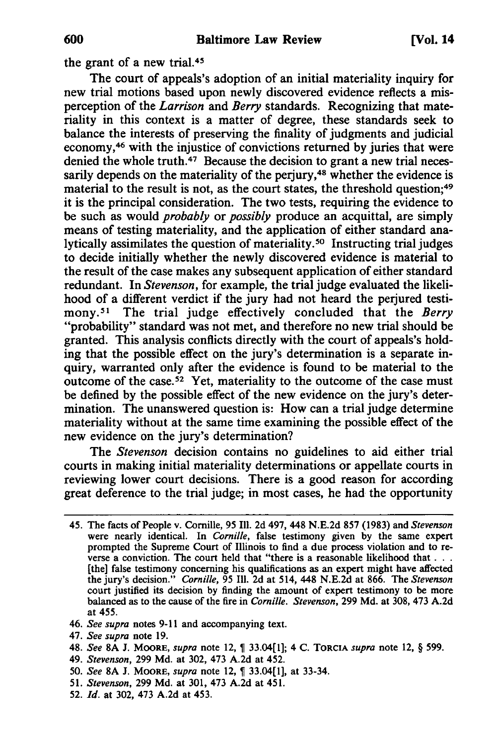the grant of a new trial. *4S* 

The court of appeals's adoption of an initial materiality inquiry for new trial motions based upon newly discovered evidence reflects a misperception of the *Larrison* and *Berry* standards. Recognizing that materiality in this context is a matter of degree, these standards seek to balance the interests of preserving the finality of judgments and judicial economy,46 with the injustice of convictions returned by juries that were denied the whole truth.<sup>47</sup> Because the decision to grant a new trial necessarily depends on the materiality of the perjury, $48$  whether the evidence is material to the result is not, as the court states, the threshold question;<sup>49</sup> it is the principal consideration. The two tests, requiring the evidence to be such as would *probably* or *possibly* produce an acquittal, are simply means of testing materiality, and the application of either standard analytically assimilates the question of materiality. *so* Instructing trial judges to decide initially whether the newly discovered evidence is material to the result of the case makes any subsequent application of either standard redundant. In *Stevenson,* for example, the trial judge evaluated the likelihood of a different verdict if the jury had not heard the perjured testimony.51 The trial judge effectively concluded that the *Berry*  "probability" standard was not met, and therefore no new trial should be granted. This analysis conflicts directly with the court of appeals's holding that the possible effect on the jury's determination is a separate inquiry, warranted only after the evidence is found to be material to the outcome of the case. *S2* Yet, materiality to the outcome of the case must be defined by the possible effect of the new evidence on the jury's determination. The unanswered question is: How can a trial judge determine materiality without at the same time examining the possible effect of the new evidence on the jury's determination?

The *Stevenson* decision contains no guidelines to aid either trial courts in making initial materiality determinations or appellate courts in reviewing lower court decisions. There is a good reason for according great deference to the trial judge; in most cases, he had the opportunity

- *47. See supra* note 19.
- *48. See* 8A J. MOORE, *supra* note 12, ~ 33.04[1]; 4 C. TORCIA *supra* note 12, § 599.
- *49. Stevenson,* 299 Md. at 302, 473 A.2d at 452.
- 50. See 8A J. MOORE, *supra* note 12,  $\int$  33.04[1], at 33-34.
- *51. Stevenson,* 299 Md. at 301, 473 A.2d at 451.
- *52. Id.* at 302, 473 A.2d at 453.

<sup>45.</sup> The facts of People v. Cornille, 95 Ill. 2d 497,448 N.E.2d 857 (1983) and *Stevenson*  were nearly identical. In *Comille,* false testimony given by the same expert prompted the Supreme Court of Illinois to find a due process violation and to reverse a conviction. The court held that "there is a reasonable likelihood that. . . [the] false testimony concerning his qualifications as an expert might have affected the jury's decision." *Comille,* 95 Ill. 2d at 514, 448 N.E.2d at 866. The *Stevenson*  court justified its decision by finding the amount of expert testimony to be more balanced as to the cause of the fire in *Comille. Stevenson,* 299 Md. at 308, 473 A.2d at 455.

*<sup>46.</sup> See supra* notes 9-11 and accompanying text.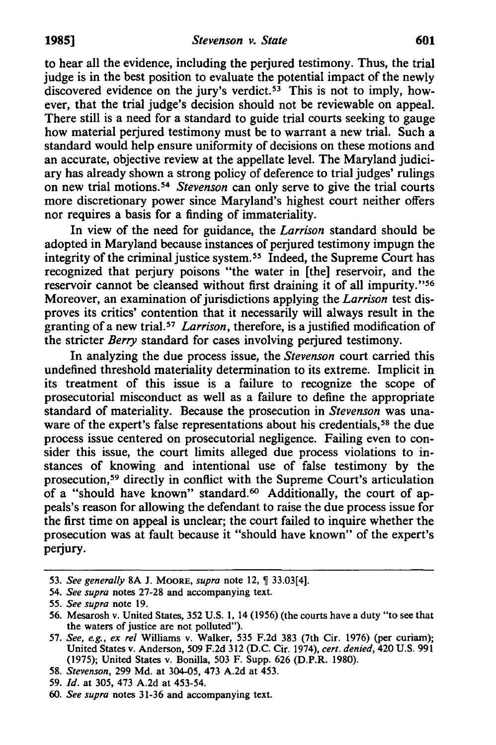to hear all the evidence, including the perjured testimony. Thus, the trial judge is in the best position to evaluate the potential impact of the newly discovered evidence on the jury's verdict.<sup>53</sup> This is not to imply, however, that the trial judge's decision should not be reviewable on appeal. There still is a need for a standard to guide trial courts seeking to gauge how material perjured testimony must be to warrant a new trial. Such a standard would help ensure uniformity of decisions on these motions and an accurate, objective review at the appellate level. The Maryland judiciary has already shown a strong policy of deference to trial judges' rulings on new trial motions. *S4 Stevenson* can only serve to give the trial courts more discretionary power since Maryland's highest court neither offers nor requires a basis for a finding of immateriality.

In view of the need for guidance, the *Larrison* standard should be adopted in Maryland because instances of perjured testimony impugn the integrity of the criminal justice system. *ss* Indeed, the Supreme Court has recognized that perjury poisons "the water in [the] reservoir, and the reservoir cannot be cleansed without first draining it of all impurity."s6 Moreover, an examination of jurisdictions applying the *Larrison* test disproves its critics' contention that it necessarily will always result in the granting of a new trial. *S7 Larrison,* therefore, is a justified modification of the stricter *Berry* standard for cases involving perjured testimony.

In analyzing the due process issue, the *Stevenson* court carried this undefined threshold materiality determination to its extreme. Implicit in its treatment of this issue is a failure to recognize the scope of prosecutorial misconduct as well as a failure to define the appropriate standard of materiality. Because the prosecution in *Stevenson* was unaware of the expert's false representations about his credentials, *S8* the due process issue centered on prosecutorial negligence. Failing even to consider this issue, the court limits alleged due process violations to instances of knowing and intentional use of false testimony by the prosecution,<sup>59</sup> directly in conflict with the Supreme Court's articulation of a "should have known" standard.<sup>60</sup> Additionally, the court of appeals's reason for allowing the defendant to raise the due process issue for the first time on appeal is unclear; the court failed to inquire whether the prosecution was at fault because it "should have known" of the expert's perjury.

<sup>53.</sup> See generally 8A J. MOORE, *supra* note 12, 9 33.03[4].

*<sup>54.</sup> See supra* notes 27-28 and accompanying text.

*<sup>55.</sup> See supra* note 19.

<sup>56.</sup> Mesarosh v. United States, 352 U.S. I, 14 (1956) (the courts have a duty "to see that the waters of justice are not polluted").

*<sup>57.</sup> See, e.g., ex rei* Williams v. Walker, 535 F.2d 383 (7th Cir. 1976) (per curiam); United States v. Anderson, 509 F.2d 312 (D.C. Cir. 1974), *cert. denied,* 420 U.S. 991 (1975); United States v. Bonilla, 503 F. Supp. 626 (D.P.R. 1980).

*<sup>58.</sup> Stevenson,* 299 Md. at 304-05, 473 A.2d at 453.

*<sup>59.</sup> Id.* at 305, 473 A.2d at 453-54.

*<sup>60.</sup> See supra* notes 31-36 and accompanying text.